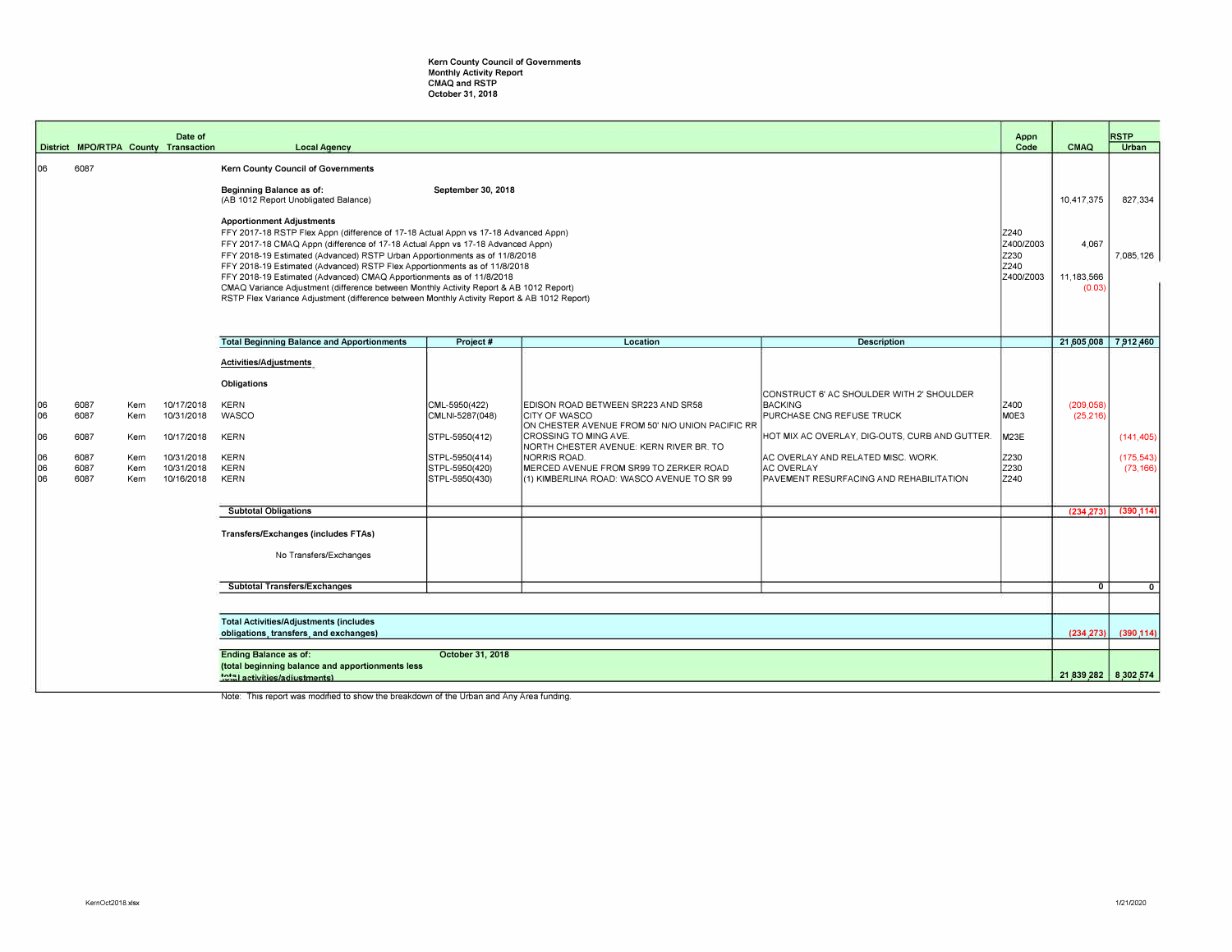## **Kern County Council of Governments**  Monthly Activity Report CMAQ and RSTP October 31, 2018

|                                    |                                                                                                                                       |                                              | Date of<br>District MPO/RTPA County Transaction                                                                                                                                                                                                                                                                                                                                                                                                                                                                                                                                                                                                                               | <b>Local Agency</b>                                                                                                       |                                                                                                          |                                                                                                                                                                                                                                                                                    |                                                                                                                                                                                                                                                  | Appn<br>Code                                 | <b>CMAQ</b>                                 | <b>RSTP</b><br>Urban                 |
|------------------------------------|---------------------------------------------------------------------------------------------------------------------------------------|----------------------------------------------|-------------------------------------------------------------------------------------------------------------------------------------------------------------------------------------------------------------------------------------------------------------------------------------------------------------------------------------------------------------------------------------------------------------------------------------------------------------------------------------------------------------------------------------------------------------------------------------------------------------------------------------------------------------------------------|---------------------------------------------------------------------------------------------------------------------------|----------------------------------------------------------------------------------------------------------|------------------------------------------------------------------------------------------------------------------------------------------------------------------------------------------------------------------------------------------------------------------------------------|--------------------------------------------------------------------------------------------------------------------------------------------------------------------------------------------------------------------------------------------------|----------------------------------------------|---------------------------------------------|--------------------------------------|
|                                    |                                                                                                                                       |                                              |                                                                                                                                                                                                                                                                                                                                                                                                                                                                                                                                                                                                                                                                               |                                                                                                                           |                                                                                                          |                                                                                                                                                                                                                                                                                    |                                                                                                                                                                                                                                                  |                                              |                                             |                                      |
| 106                                | 6087                                                                                                                                  |                                              | <b>Kern County Council of Governments</b><br>Beginning Balance as of:<br>September 30, 2018<br>(AB 1012 Report Unobligated Balance)<br><b>Apportionment Adjustments</b><br>FFY 2017-18 RSTP Flex Appn (difference of 17-18 Actual Appn vs 17-18 Advanced Appn)<br>FFY 2017-18 CMAQ Appn (difference of 17-18 Actual Appn vs 17-18 Advanced Appn)<br>FFY 2018-19 Estimated (Advanced) RSTP Urban Apportionments as of 11/8/2018<br>FFY 2018-19 Estimated (Advanced) RSTP Flex Apportionments as of 11/8/2018<br>FFY 2018-19 Estimated (Advanced) CMAQ Apportionments as of 11/8/2018<br>CMAQ Variance Adjustment (difference between Monthly Activity Report & AB 1012 Report) |                                                                                                                           |                                                                                                          |                                                                                                                                                                                                                                                                                    |                                                                                                                                                                                                                                                  |                                              | 10,417,375<br>4,067<br>11,183,566<br>(0.03) | 827,334<br>7,085,126                 |
|                                    |                                                                                                                                       |                                              |                                                                                                                                                                                                                                                                                                                                                                                                                                                                                                                                                                                                                                                                               | RSTP Flex Variance Adjustment (difference between Monthly Activity Report & AB 1012 Report)                               |                                                                                                          |                                                                                                                                                                                                                                                                                    |                                                                                                                                                                                                                                                  |                                              |                                             |                                      |
|                                    |                                                                                                                                       |                                              |                                                                                                                                                                                                                                                                                                                                                                                                                                                                                                                                                                                                                                                                               |                                                                                                                           |                                                                                                          |                                                                                                                                                                                                                                                                                    |                                                                                                                                                                                                                                                  |                                              |                                             |                                      |
|                                    |                                                                                                                                       |                                              |                                                                                                                                                                                                                                                                                                                                                                                                                                                                                                                                                                                                                                                                               | <b>Total Beginning Balance and Apportionments</b>                                                                         | Project #                                                                                                | Location                                                                                                                                                                                                                                                                           | <b>Description</b>                                                                                                                                                                                                                               |                                              | 21,605,008 7,912,460                        |                                      |
| 06<br>106<br>06<br>106<br>06<br>06 | 6087<br>6087<br>6087<br>6087<br>6087<br>6087                                                                                          | Kern<br>Kern<br>Kern<br>Kern<br>Kern<br>Kern | 10/17/2018<br>10/31/2018<br>10/17/2018<br>10/31/2018<br>10/31/2018<br>10/16/2018                                                                                                                                                                                                                                                                                                                                                                                                                                                                                                                                                                                              | Activities/Adjustments<br>Obligations<br><b>KERN</b><br>WASCO<br><b>KERN</b><br><b>KERN</b><br><b>KERN</b><br><b>KERN</b> | CML-5950(422)<br>CMLNI-5287(048)<br>STPL-5950(412)<br>STPL-5950(414)<br>STPL-5950(420)<br>STPL-5950(430) | EDISON ROAD BETWEEN SR223 AND SR58<br>CITY OF WASCO<br>ON CHESTER AVENUE FROM 50' N/O UNION PACIFIC RR<br>CROSSING TO MING AVE.<br>NORTH CHESTER AVENUE: KERN RIVER BR. TO<br>NORRIS ROAD.<br>MERCED AVENUE FROM SR99 TO ZERKER ROAD<br>(1) KIMBERLINA ROAD: WASCO AVENUE TO SR 99 | CONSTRUCT 6' AC SHOULDER WITH 2' SHOULDER<br><b>BACKING</b><br>PURCHASE CNG REFUSE TRUCK<br>HOT MIX AC OVERLAY, DIG-OUTS, CURB AND GUTTER.<br>AC OVERLAY AND RELATED MISC. WORK.<br><b>AC OVERLAY</b><br>PAVEMENT RESURFACING AND REHABILITATION | Z400<br>MOE3<br>M23E<br>Z230<br>Z230<br>Z240 | (209, 058)<br>(25, 216)                     | (141, 405)<br>(175.543)<br>(73, 166) |
|                                    |                                                                                                                                       |                                              |                                                                                                                                                                                                                                                                                                                                                                                                                                                                                                                                                                                                                                                                               | <b>Subtotal Obligations</b>                                                                                               |                                                                                                          |                                                                                                                                                                                                                                                                                    |                                                                                                                                                                                                                                                  |                                              | (234, 273)                                  | (390, 114)                           |
|                                    |                                                                                                                                       |                                              |                                                                                                                                                                                                                                                                                                                                                                                                                                                                                                                                                                                                                                                                               | Transfers/Exchanges (includes FTAs)<br>No Transfers/Exchanges                                                             |                                                                                                          |                                                                                                                                                                                                                                                                                    |                                                                                                                                                                                                                                                  |                                              |                                             |                                      |
|                                    |                                                                                                                                       |                                              |                                                                                                                                                                                                                                                                                                                                                                                                                                                                                                                                                                                                                                                                               | Subtotal Transfers/Exchanges                                                                                              |                                                                                                          |                                                                                                                                                                                                                                                                                    |                                                                                                                                                                                                                                                  |                                              | $\overline{0}$                              | $\overline{0}$                       |
|                                    |                                                                                                                                       |                                              |                                                                                                                                                                                                                                                                                                                                                                                                                                                                                                                                                                                                                                                                               | <b>Total Activities/Adjustments (includes</b><br>obligations, transfers, and exchanges)                                   |                                                                                                          |                                                                                                                                                                                                                                                                                    |                                                                                                                                                                                                                                                  |                                              | (234, 273)                                  | (390, 114)                           |
|                                    | <b>Ending Balance as of:</b><br>October 31, 2018<br>(total beginning balance and apportionments less<br>total activities/adiustments) |                                              |                                                                                                                                                                                                                                                                                                                                                                                                                                                                                                                                                                                                                                                                               |                                                                                                                           |                                                                                                          |                                                                                                                                                                                                                                                                                    |                                                                                                                                                                                                                                                  |                                              | 21,839,282 8,302,574                        |                                      |

Note: This report was modified to show the breakdown of the Urban and Any Area funding.